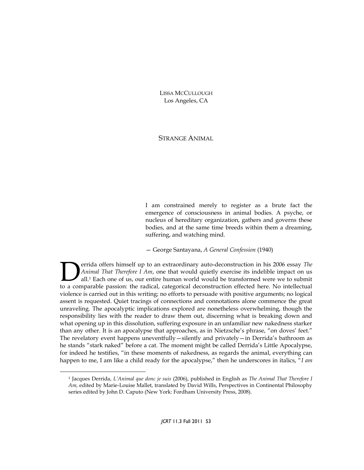LISSA MCCULLOUGH Los Angeles, CA

## STRANGE ANIMAL

I am constrained merely to register as a brute fact the emergence of consciousness in animal bodies. A psyche, or nucleus of hereditary organization, gathers and governs these bodies, and at the same time breeds within them a dreaming, suffering, and watching mind.

— George Santayana, *A General Confession* (1940)

errida offers himself up to an extraordinary auto-deconstruction in his 2006 essay *The Animal That Therefore I Am*, one that would quietly exercise its indelible impact on us all.<sup>1</sup> Each one of us, our entire human world would be transformed were we to submit **Example 1** and the radical, categorical deconstruction in his 2006 essay *The Animal That Therefore I Am*, one that would quietly exercise its indelible impact on us all.<sup>1</sup> Each one of us, our entire human world would be violence is carried out in this writing; no efforts to persuade with positive arguments; no logical assent is requested. Quiet tracings of connections and connotations alone commence the great unraveling. The apocalyptic implications explored are nonetheless overwhelming, though the responsibility lies with the reader to draw them out, discerning what is breaking down and what opening up in this dissolution, suffering exposure in an unfamiliar new nakedness starker than any other. It is an apocalypse that approaches, as in Nietzsche's phrase, "on doves' feet." The revelatory event happens uneventfully—silently and privately—in Derrida's bathroom as he stands "stark naked" before a cat. The moment might be called Derrida's Little Apocalypse, for indeed he testifies, "in these moments of nakedness, as regards the animal, everything can happen to me, I am like a child ready for the apocalypse," then he underscores in italics, "*I am* 

<sup>1</sup> Jacques Derrida, *L'Animal que donc je suis* (2006), published in English as *The Animal That Therefore I Am,* edited by Marie-Louise Mallet, translated by David Wills, Perspectives in Continental Philosophy series edited by John D. Caputo (New York: Fordham University Press, 2008).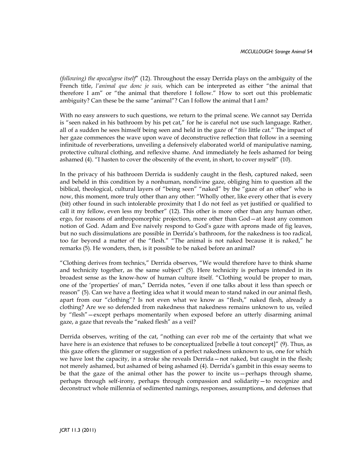*(following) the apocalypse itself*" (12). Throughout the essay Derrida plays on the ambiguity of the French title, *l'animal que donc je suis,* which can be interpreted as either "the animal that therefore I am" or "the animal that therefore I follow." How to sort out this problematic ambiguity? Can these be the same "animal"? Can I follow the animal that I am?

With no easy answers to such questions, we return to the primal scene. We cannot say Derrida is "seen naked in his bathroom by his pet cat," for he is careful not use such language. Rather, all of a sudden he sees himself being seen and held in the gaze of "*this* little cat." The impact of her gaze commences the wave upon wave of deconstructive reflection that follow in a seeming infinitude of reverberations, unveiling a defensively elaborated world of manipulative naming, protective cultural clothing, and reflexive shame. And immediately he feels ashamed for being ashamed (4). "I hasten to cover the obscenity of the event, in short, to cover myself" (10).

In the privacy of his bathroom Derrida is suddenly caught in the flesh, captured naked, seen and beheld in this condition by a nonhuman, nondivine gaze, obliging him to question all the biblical, theological, cultural layers of "being seen" "naked" by the "gaze of an other" who is now, this moment, more truly other than any other: "Wholly other, like every other that is every (bit) other found in such intolerable proximity that I do not feel as yet justified or qualified to call it my fellow, even less my brother" (12). This other is more other than any human other, ergo, for reasons of anthropomorphic projection, more other than God—at least any common notion of God. Adam and Eve naively respond to God's gaze with aprons made of fig leaves, but no such dissimulations are possible in Derrida's bathroom, for the nakedness is too radical, too far beyond a matter of the "flesh." "The animal is not naked because it is naked," he remarks (5). He wonders, then, is it possible to be naked before an animal?

"Clothing derives from technics," Derrida observes, "We would therefore have to think shame and technicity together, as the same subject" (5). Here technicity is perhaps intended in its broadest sense as the know-how of human culture itself. "Clothing would be proper to man, one of the 'properties' of man," Derrida notes, "even if one talks about it less than speech or reason" (5). Can we have a fleeting idea what it would mean to stand naked in our animal flesh, apart from our "clothing"? Is not even what we know as "flesh," naked flesh, already a clothing? Are we so defended from nakedness that nakedness remains unknown to us, veiled by "flesh"—except perhaps momentarily when exposed before an utterly disarming animal gaze, a gaze that reveals the "naked flesh" as a veil?

Derrida observes, writing of the cat, "nothing can ever rob me of the certainty that what we have here is an existence that refuses to be conceptualized [rebelle à tout concept]" (9). Thus, as this gaze offers the glimmer or suggestion of a perfect nakedness unknown to us, one for which we have lost the capacity, in a stroke she reveals Derrida—not naked, but caught in the flesh; not merely ashamed, but ashamed of being ashamed (4). Derrida's gambit in this essay seems to be that the gaze of the animal other has the power to incite us—perhaps through shame, perhaps through self-irony, perhaps through compassion and solidarity—to recognize and deconstruct whole millennia of sedimented namings, responses, assumptions, and defenses that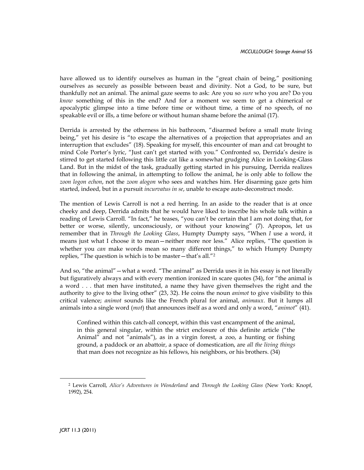have allowed us to identify ourselves as human in the "great chain of being," positioning ourselves as securely as possible between beast and divinity. Not a God, to be sure, but thankfully not an animal. The animal gaze seems to ask: Are you so *sure* who you are? Do you *know* something of this in the end? And for a moment we seem to get a chimerical or apocalyptic glimpse into a time before time or without time, a time of no speech, of no speakable evil or ills, a time before or without human shame before the animal (17).

Derrida is arrested by the otherness in his bathroom, "disarmed before a small mute living being," yet his desire is "to escape the alternatives of a projection that appropriates and an interruption that excludes" (18). Speaking for myself, this encounter of man and cat brought to mind Cole Porter's lyric, "Just can't get started with you." Confronted so, Derrida's desire is stirred to get started following this little cat like a somewhat grudging Alice in Looking-Glass Land. But in the midst of the task, gradually getting started in his pursuing, Derrida realizes that in following the animal, in attempting to follow the animal, he is only able to follow the *zoon logon echon*, not the *zoon alogon* who sees and watches him. Her disarming gaze gets him started, indeed, but in a pursuit *incurvatus in se*, unable to escape auto-deconstruct mode.

The mention of Lewis Carroll is not a red herring. In an aside to the reader that is at once cheeky and deep, Derrida admits that he would have liked to inscribe his whole talk within a reading of Lewis Carroll. "In fact," he teases, "you can't be certain that I am not doing that, for better or worse, silently, unconsciously, or without your knowing" (7). Apropos, let us remember that in *Through the Looking Glass*, Humpty Dumpty says, "When *I* use a word, it means just what I choose it to mean—neither more nor less." Alice replies, "The question is whether you *can* make words mean so many different things," to which Humpty Dumpty replies, "The question is which is to be master—that's all."<sup>2</sup>

And so, "the animal"—what a word. "The animal" as Derrida uses it in his essay is not literally but figuratively always and with every mention ironized in scare quotes (34), for "the animal is a word . . . that men have instituted, a name they have given themselves the right and the authority to give to the living other" (23, 32). He coins the noun *animot* to give visibility to this critical valence; *animot* sounds like the French plural for animal, *animaux*. But it lumps all animals into a single word (*mot*) that announces itself as a word and only a word, "*animot*" (41).

Confined within this catch-all concept, within this vast encampment of the animal, in this general singular, within the strict enclosure of this definite article ("the Animal" and not "animals"), as in a virgin forest, a zoo, a hunting or fishing ground, a paddock or an abattoir, a space of domestication, are *all the living things* that man does not recognize as his fellows, his neighbors, or his brothers. (34)

<sup>2</sup> Lewis Carroll, *Alice's Adventures in Wonderland* and *Through the Looking Glass* (New York: Knopf, 1992), 254.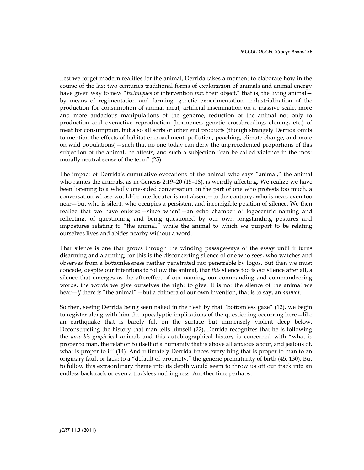Lest we forget modern realities for the animal, Derrida takes a moment to elaborate how in the course of the last two centuries traditional forms of exploitation of animals and animal energy have given way to new "*techniques* of intervention *into* their object," that is, the living animal by means of regimentation and farming, genetic experimentation, industrialization of the production for consumption of animal meat, artificial insemination on a massive scale, more and more audacious manipulations of the genome, reduction of the animal not only to production and overactive reproduction (hormones, genetic crossbreeding, cloning, etc.) of meat for consumption, but also all sorts of other end products (though strangely Derrida omits to mention the effects of habitat encroachment, pollution, poaching, climate change, and more on wild populations)—such that no one today can deny the unprecedented proportions of this subjection of the animal, he attests, and such a subjection "can be called violence in the most morally neutral sense of the term" (25).

The impact of Derrida's cumulative evocations of the animal who says "animal," the animal who names the animals, as in Genesis 2:19–20 (15–18), is weirdly affecting. We realize we have been listening to a wholly one-sided conversation on the part of one who protests too much, a conversation whose would-be interlocutor is not absent—to the contrary, who is near, even too near—but who is silent, who occupies a persistent and incorrigible position of silence. We then realize that we have entered—since when?—an echo chamber of logocentric naming and reflecting, of questioning and being questioned by our own longstanding postures and impostures relating to "the animal," while the animal to which we purport to be relating ourselves lives and abides nearby without a word.

That silence is one that grows through the winding passageways of the essay until it turns disarming and alarming; for this is the disconcerting silence of one who sees, who watches and observes from a bottomlessness neither penetrated nor penetrable by logos. But then we must concede, despite our intentions to follow the animal, that *this* silence too is *our* silence after all, a silence that emerges as the aftereffect of our naming, our commanding and commandeering words, the words we give ourselves the right to give. It is not the silence of the animal we hear—*if* there is "the animal"—but a chimera of our own invention, that is to say, an *animot*.

So then, seeing Derrida being seen naked in the flesh by that "bottomless gaze" (12), we begin to register along with him the apocalyptic implications of the questioning occurring here—like an earthquake that is barely felt on the surface but immensely violent deep below. Deconstructing the history that man tells himself (22), Derrida recognizes that he is following the *auto-bio-graph*-ical animal, and this autobiographical history is concerned with "what is proper to man, the relation to itself of a humanity that is above all anxious about, and jealous of, what is proper to it" (14). And ultimately Derrida traces everything that is proper to man to an originary fault or lack: to a "default of propriety," the generic prematurity of birth (45, 130). But to follow this extraordinary theme into its depth would seem to throw us off our track into an endless backtrack or even a trackless nothingness. Another time perhaps.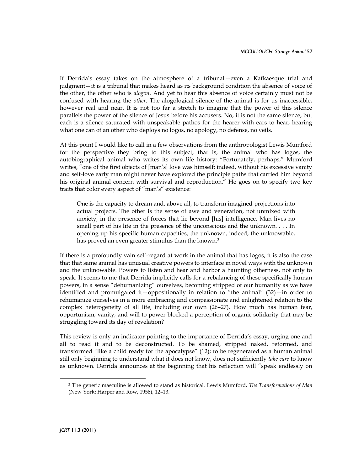If Derrida's essay takes on the atmosphere of a tribunal—even a Kafkaesque trial and judgment—it is a tribunal that makes heard as its background condition the absence of voice of the other, the other who is *alogon*. And yet to hear this absence of voice certainly must not be confused with hearing the *other*. The alogological silence of the animal is for us inaccessible, however real and near. It is not too far a stretch to imagine that the power of this silence parallels the power of the silence of Jesus before his accusers. No, it is not the same silence, but each is a silence saturated with unspeakable pathos for the hearer with ears to hear, hearing what one can of an other who deploys no logos, no apology, no defense, no veils.

At this point I would like to call in a few observations from the anthropologist Lewis Mumford for the perspective they bring to this subject, that is, the animal who has logos, the autobiographical animal who writes its own life history: "Fortunately, perhaps," Mumford writes, "one of the first objects of [man's] love was himself: indeed, without his excessive vanity and self-love early man might never have explored the principle paths that carried him beyond his original animal concern with survival and reproduction." He goes on to specify two key traits that color every aspect of "man's" existence:

One is the capacity to dream and, above all, to transform imagined projections into actual projects. The other is the sense of awe and veneration, not unmixed with anxiety, in the presence of forces that lie beyond [his] intelligence. Man lives no small part of his life in the presence of the unconscious and the unknown. . . . In opening up his specific human capacities, the unknown, indeed, the unknowable, has proved an even greater stimulus than the known.<sup>3</sup>

If there is a profoundly vain self-regard at work in the animal that has logos, it is also the case that that same animal has unusual creative powers to interface in novel ways with the unknown and the unknowable. Powers to listen and hear and harbor a haunting otherness, not only to speak. It seems to me that Derrida implicitly calls for a rebalancing of these specifically human powers, in a sense "dehumanizing" ourselves, becoming stripped of our humanity as we have identified and promulgated it—oppositionally in relation to "the animal"  $(32)$ —in order to rehumanize ourselves in a more embracing and compassionate and enlightened relation to the complex heterogeneity of all life, including our own (26–27). How much has human fear, opportunism, vanity, and will to power blocked a perception of organic solidarity that may be struggling toward its day of revelation?

This review is only an indicator pointing to the importance of Derrida's essay, urging one and all to read it and to be deconstructed. To be shamed, stripped naked, reformed, and transformed "like a child ready for the apocalypse" (12); to be regenerated as a human animal still only beginning to understand what it does not know, does not sufficiently *take care* to know as unknown. Derrida announces at the beginning that his reflection will "speak endlessly on

<sup>3</sup> The generic masculine is allowed to stand as historical. Lewis Mumford, *The Transformations of Man* (New York: Harper and Row, 1956), 12–13.